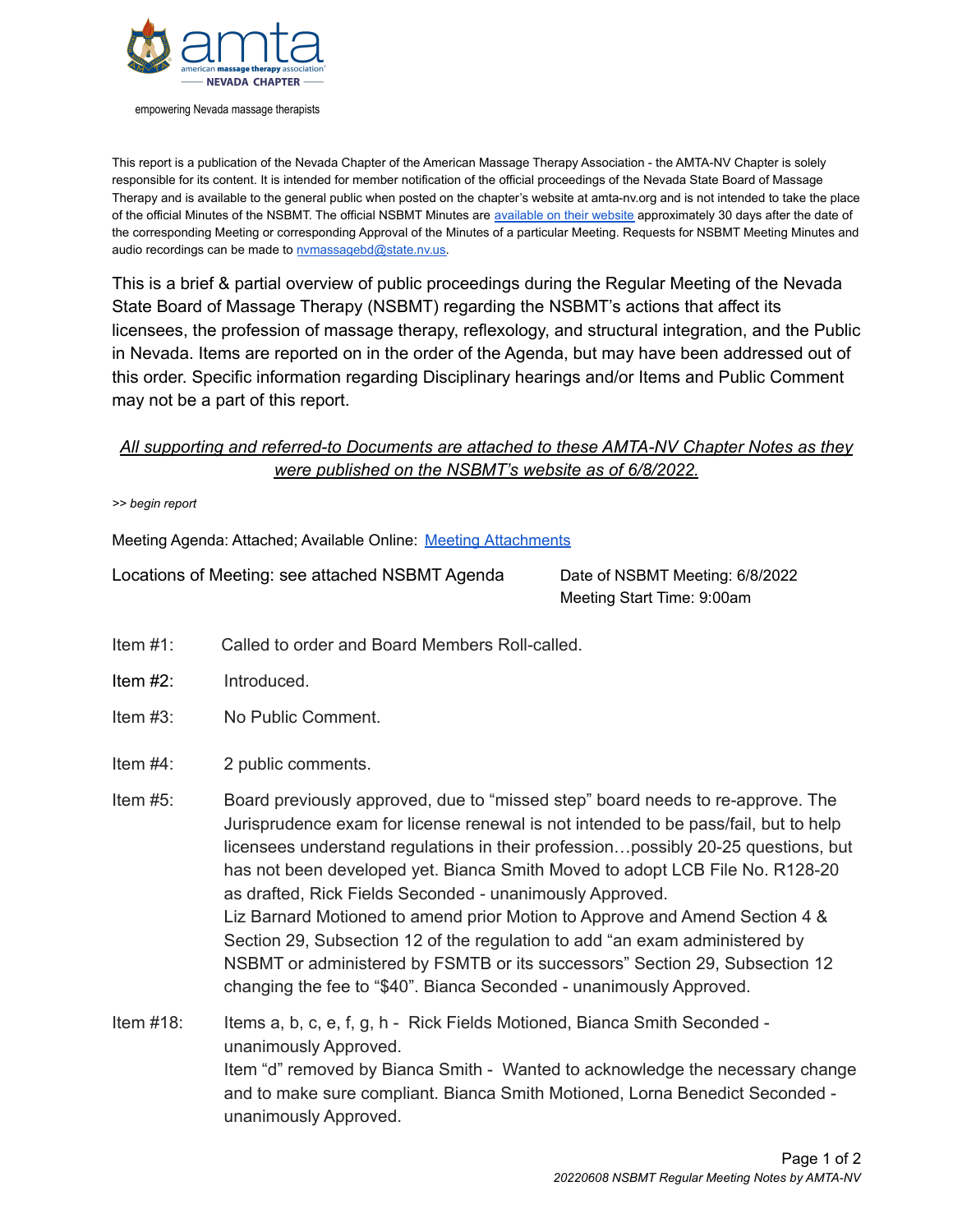

empowering Nevada massage therapists

This report is a publication of the Nevada Chapter of the American Massage Therapy Association - the AMTA-NV Chapter is solely responsible for its content. It is intended for member notification of the official proceedings of the Nevada State Board of Massage Therapy and is available to the general public when posted on the chapter's website at amta-nv.org and is not intended to take the place of the official Minutes of the NSBMT. The official NSBMT Minutes are [available](http://massagetherapy.nv.gov/About/Board_Meetings/2021/2021_meetings/) on their website approximately 30 days after the date of the corresponding Meeting or corresponding Approval of the Minutes of a particular Meeting. Requests for NSBMT Meeting Minutes and audio recordings can be made to [nvmassagebd@state.nv.us.](mailto:nvmassagebd@state.nv.us)

This is a brief & partial overview of public proceedings during the Regular Meeting of the Nevada State Board of Massage Therapy (NSBMT) regarding the NSBMT's actions that affect its licensees, the profession of massage therapy, reflexology, and structural integration, and the Public in Nevada. Items are reported on in the order of the Agenda, but may have been addressed out of this order. Specific information regarding Disciplinary hearings and/or Items and Public Comment may not be a part of this report.

## *All supporting and referred-to Documents are attached to these AMTA-NV Chapter Notes as they were published on the NSBMT's website as of 6/8/2022.*

*>> begin report*

Meeting Agenda: Attached; Available Online: Meeting [Attachments](https://massagetherapy.nv.gov/About/Board_Meetings/2022/2022-06-08_MeetingAttachments/)

Locations of Meeting: see attached NSBMT Agenda Date of NSBMT Meeting: 6/8/2022

Meeting Start Time: 9:00am

- Item #1: Called to order and Board Members Roll-called.
- Item #2: Introduced.
- Item #3: No Public Comment.
- Item #4: 2 public comments.
- Item #5: Board previously approved, due to "missed step" board needs to re-approve. The Jurisprudence exam for license renewal is not intended to be pass/fail, but to help licensees understand regulations in their profession…possibly 20-25 questions, but has not been developed yet. Bianca Smith Moved to adopt LCB File No. R128-20 as drafted, Rick Fields Seconded - unanimously Approved. Liz Barnard Motioned to amend prior Motion to Approve and Amend Section 4 & Section 29, Subsection 12 of the regulation to add "an exam administered by NSBMT or administered by FSMTB or its successors" Section 29, Subsection 12 changing the fee to "\$40". Bianca Seconded - unanimously Approved.
- Item #18: Items a, b, c, e, f, g, h Rick Fields Motioned, Bianca Smith Seconded unanimously Approved. Item "d" removed by Bianca Smith - Wanted to acknowledge the necessary change and to make sure compliant. Bianca Smith Motioned, Lorna Benedict Seconded unanimously Approved.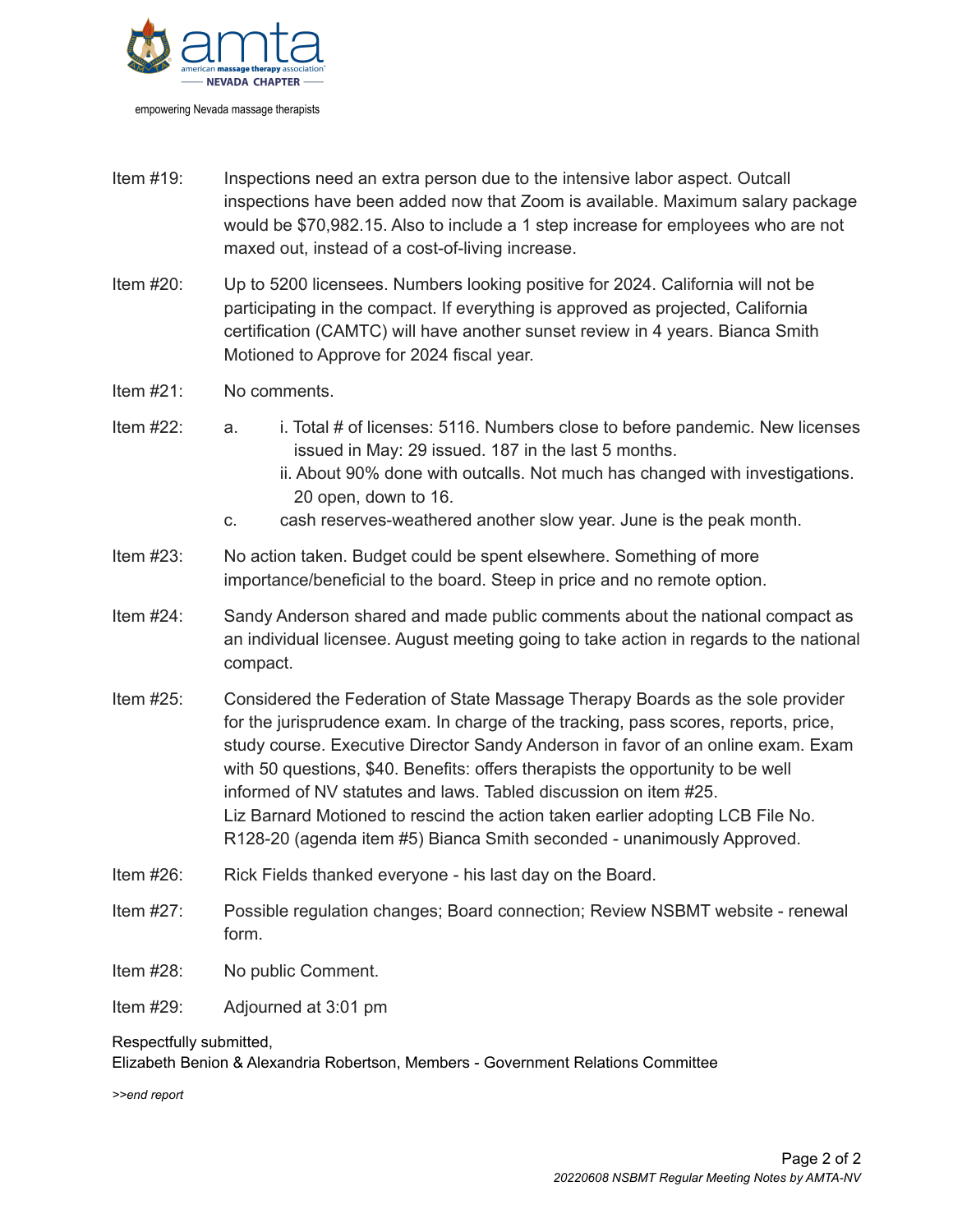

Item #19: Inspections need an extra person due to the intensive labor aspect. Outcall inspections have been added now that Zoom is available. Maximum salary package would be \$70,982.15. Also to include a 1 step increase for employees who are not maxed out, instead of a cost-of-living increase.

- Item #20: Up to 5200 licensees. Numbers looking positive for 2024. California will not be participating in the compact. If everything is approved as projected, California certification (CAMTC) will have another sunset review in 4 years. Bianca Smith Motioned to Approve for 2024 fiscal year.
- Item #21: No comments.
- Item #22: a. i. Total # of licenses: 5116. Numbers close to before pandemic. New licenses issued in May: 29 issued. 187 in the last 5 months.
	- ii. About 90% done with outcalls. Not much has changed with investigations. 20 open, down to 16.
	- c. cash reserves-weathered another slow year. June is the peak month.
- Item #23: No action taken. Budget could be spent elsewhere. Something of more importance/beneficial to the board. Steep in price and no remote option.
- Item #24: Sandy Anderson shared and made public comments about the national compact as an individual licensee. August meeting going to take action in regards to the national compact.
- Item #25: Considered the Federation of State Massage Therapy Boards as the sole provider for the jurisprudence exam. In charge of the tracking, pass scores, reports, price, study course. Executive Director Sandy Anderson in favor of an online exam. Exam with 50 questions, \$40. Benefits: offers therapists the opportunity to be well informed of NV statutes and laws. Tabled discussion on item #25. Liz Barnard Motioned to rescind the action taken earlier adopting LCB File No. R128-20 (agenda item #5) Bianca Smith seconded - unanimously Approved.
- Item #26: Rick Fields thanked everyone his last day on the Board.
- Item #27: Possible regulation changes; Board connection; Review NSBMT website renewal form.
- Item #28: No public Comment.
- Item #29: Adjourned at 3:01 pm

Respectfully submitted,

Elizabeth Benion & Alexandria Robertson, Members - Government Relations Committee

*>>end report*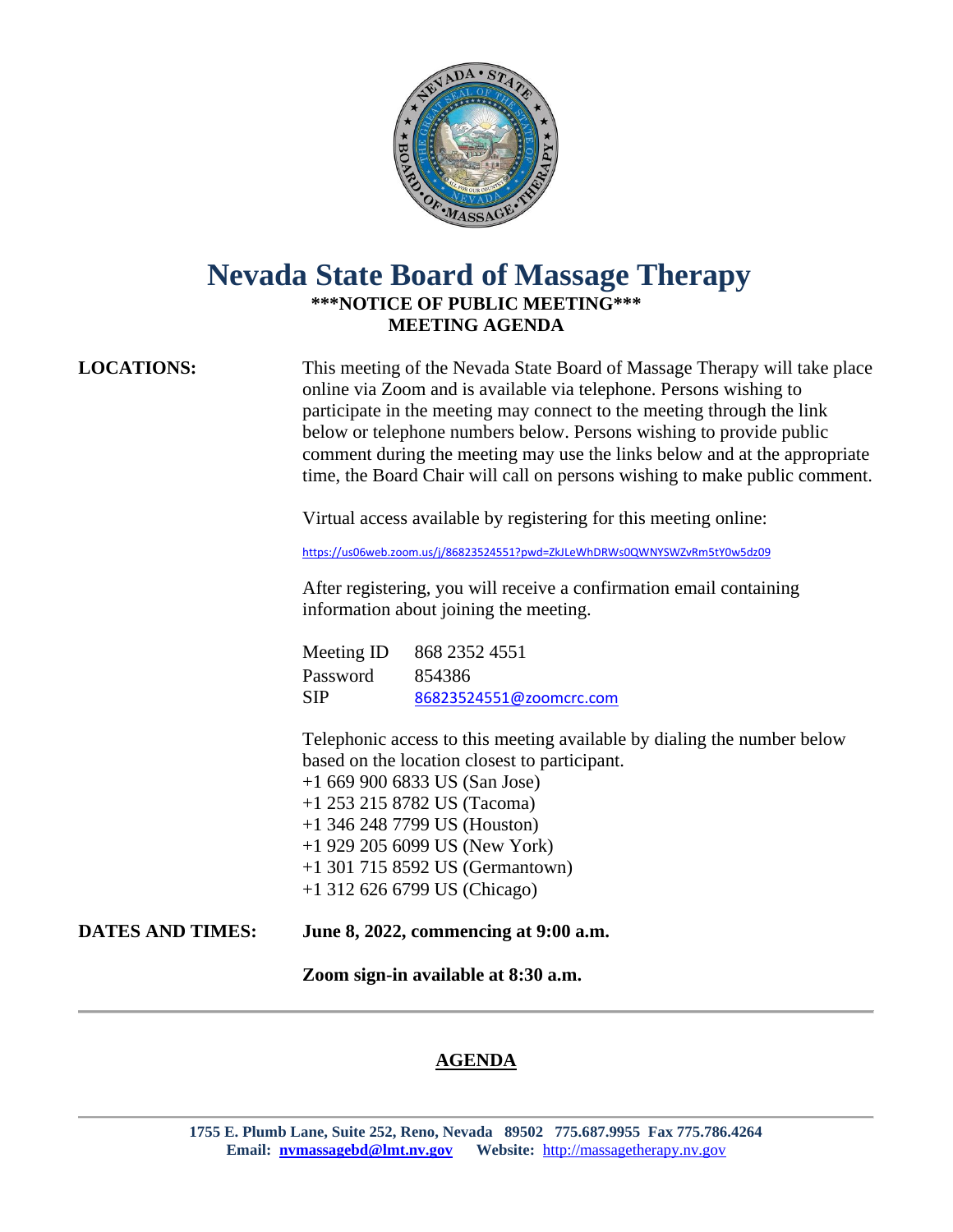

## **Nevada State Board of Massage Therapy \*\*\*NOTICE OF PUBLIC MEETING\*\*\* MEETING AGENDA**

This meeting of the Nevada State Board of Massage Therapy will take place online via Zoom and is available via telephone. Persons wishing to participate in the meeting may connect to the meeting through the link below or telephone numbers below. Persons wishing to provide public comment during the meeting may use the links below and at the appropriate time, the Board Chair will call on persons wishing to make public comment.

Virtual access available by registering for this meeting online:

<https://us06web.zoom.us/j/86823524551?pwd=ZkJLeWhDRWs0QWNYSWZvRm5tY0w5dz09>

After registering, you will receive a confirmation email containing information about joining the meeting.

Meeting ID 868 2352 4551 Password 854386 SIP [86823524551@zoomcrc.com](mailto:86823524551@zoomcrc.com)

Telephonic access to this meeting available by dialing the number below based on the location closest to participant.

 +1 669 900 6833 US (San Jose) +1 253 215 8782 US (Tacoma) +1 346 248 7799 US (Houston)

- +1 929 205 6099 US (New York)
- +1 301 715 8592 US (Germantown)
- +1 312 626 6799 US (Chicago)
- **DATES AND TIMES: June 8, 2022, commencing at 9:00 a.m.**

**Zoom sign-in available at 8:30 a.m.**

## **AGENDA**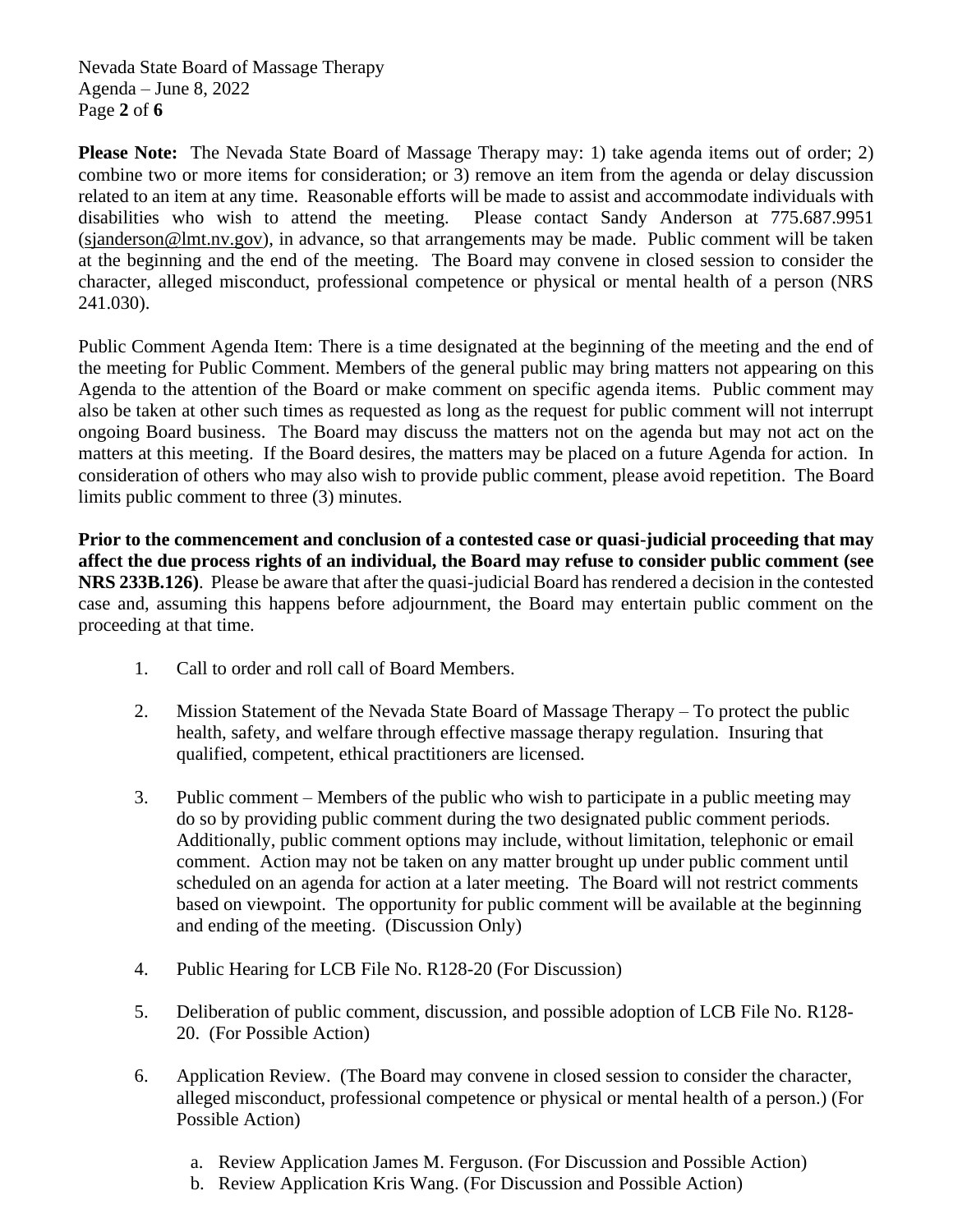Nevada State Board of Massage Therapy Agenda – June 8, 2022 Page **2** of **6**

**Please Note:** The Nevada State Board of Massage Therapy may: 1) take agenda items out of order; 2) combine two or more items for consideration; or 3) remove an item from the agenda or delay discussion related to an item at any time. Reasonable efforts will be made to assist and accommodate individuals with disabilities who wish to attend the meeting. Please contact Sandy Anderson at 775.687.9951 [\(sjanderson@lmt.nv.gov\)](mailto:sjanderson@lmt.nv.gov), in advance, so that arrangements may be made. Public comment will be taken at the beginning and the end of the meeting. The Board may convene in closed session to consider the character, alleged misconduct, professional competence or physical or mental health of a person (NRS 241.030).

Public Comment Agenda Item: There is a time designated at the beginning of the meeting and the end of the meeting for Public Comment. Members of the general public may bring matters not appearing on this Agenda to the attention of the Board or make comment on specific agenda items. Public comment may also be taken at other such times as requested as long as the request for public comment will not interrupt ongoing Board business. The Board may discuss the matters not on the agenda but may not act on the matters at this meeting. If the Board desires, the matters may be placed on a future Agenda for action. In consideration of others who may also wish to provide public comment, please avoid repetition. The Board limits public comment to three (3) minutes.

**Prior to the commencement and conclusion of a contested case or quasi-judicial proceeding that may affect the due process rights of an individual, the Board may refuse to consider public comment (see NRS 233B.126)**. Please be aware that after the quasi-judicial Board has rendered a decision in the contested case and, assuming this happens before adjournment, the Board may entertain public comment on the proceeding at that time.

- 1. Call to order and roll call of Board Members.
- 2. Mission Statement of the Nevada State Board of Massage Therapy To protect the public health, safety, and welfare through effective massage therapy regulation. Insuring that qualified, competent, ethical practitioners are licensed.
- 3. Public comment Members of the public who wish to participate in a public meeting may do so by providing public comment during the two designated public comment periods. Additionally, public comment options may include, without limitation, telephonic or email comment. Action may not be taken on any matter brought up under public comment until scheduled on an agenda for action at a later meeting. The Board will not restrict comments based on viewpoint. The opportunity for public comment will be available at the beginning and ending of the meeting. (Discussion Only)
- 4. Public Hearing for LCB File No. R128-20 (For Discussion)
- 5. Deliberation of public comment, discussion, and possible adoption of LCB File No. R128- 20. (For Possible Action)
- 6. Application Review. (The Board may convene in closed session to consider the character, alleged misconduct, professional competence or physical or mental health of a person.) (For Possible Action)
	- a. Review Application James M. Ferguson. (For Discussion and Possible Action)
	- b. Review Application Kris Wang. (For Discussion and Possible Action)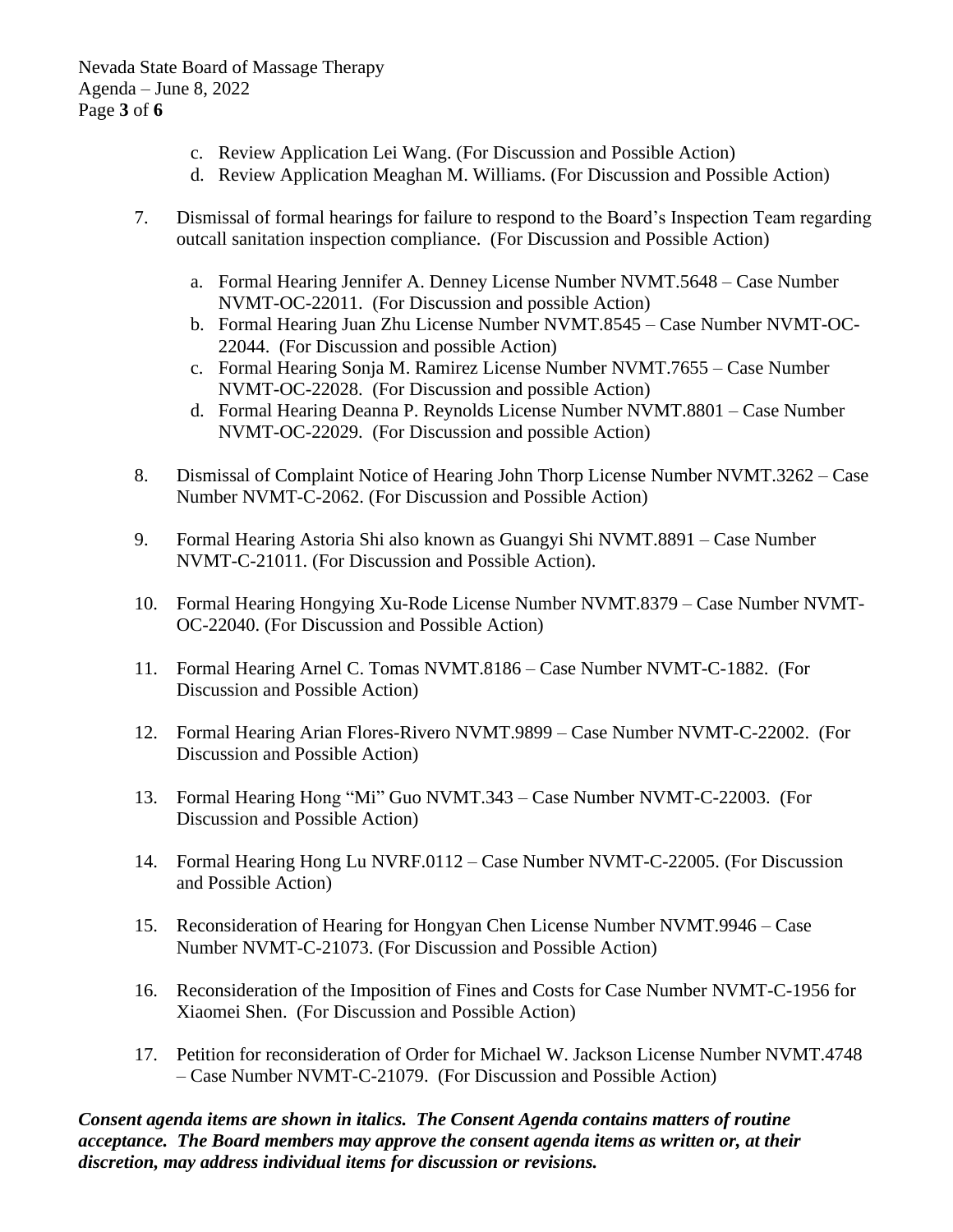Nevada State Board of Massage Therapy Agenda – June 8, 2022 Page **3** of **6**

- c. Review Application Lei Wang. (For Discussion and Possible Action)
- d. Review Application Meaghan M. Williams. (For Discussion and Possible Action)
- 7. Dismissal of formal hearings for failure to respond to the Board's Inspection Team regarding outcall sanitation inspection compliance. (For Discussion and Possible Action)
	- a. Formal Hearing Jennifer A. Denney License Number NVMT.5648 Case Number NVMT-OC-22011. (For Discussion and possible Action)
	- b. Formal Hearing Juan Zhu License Number NVMT.8545 Case Number NVMT-OC-22044. (For Discussion and possible Action)
	- c. Formal Hearing Sonja M. Ramirez License Number NVMT.7655 Case Number NVMT-OC-22028. (For Discussion and possible Action)
	- d. Formal Hearing Deanna P. Reynolds License Number NVMT.8801 Case Number NVMT-OC-22029. (For Discussion and possible Action)
- 8. Dismissal of Complaint Notice of Hearing John Thorp License Number NVMT.3262 Case Number NVMT-C-2062. (For Discussion and Possible Action)
- 9. Formal Hearing Astoria Shi also known as Guangyi Shi NVMT.8891 Case Number NVMT-C-21011. (For Discussion and Possible Action).
- 10. Formal Hearing Hongying Xu-Rode License Number NVMT.8379 Case Number NVMT-OC-22040. (For Discussion and Possible Action)
- 11. Formal Hearing Arnel C. Tomas NVMT.8186 Case Number NVMT-C-1882. (For Discussion and Possible Action)
- 12. Formal Hearing Arian Flores-Rivero NVMT.9899 Case Number NVMT-C-22002. (For Discussion and Possible Action)
- 13. Formal Hearing Hong "Mi" Guo NVMT.343 Case Number NVMT-C-22003. (For Discussion and Possible Action)
- 14. Formal Hearing Hong Lu NVRF.0112 Case Number NVMT-C-22005. (For Discussion and Possible Action)
- 15. Reconsideration of Hearing for Hongyan Chen License Number NVMT.9946 Case Number NVMT-C-21073. (For Discussion and Possible Action)
- 16. Reconsideration of the Imposition of Fines and Costs for Case Number NVMT-C-1956 for Xiaomei Shen. (For Discussion and Possible Action)
- 17. Petition for reconsideration of Order for Michael W. Jackson License Number NVMT.4748 – Case Number NVMT-C-21079. (For Discussion and Possible Action)

*Consent agenda items are shown in italics. The Consent Agenda contains matters of routine acceptance. The Board members may approve the consent agenda items as written or, at their discretion, may address individual items for discussion or revisions.*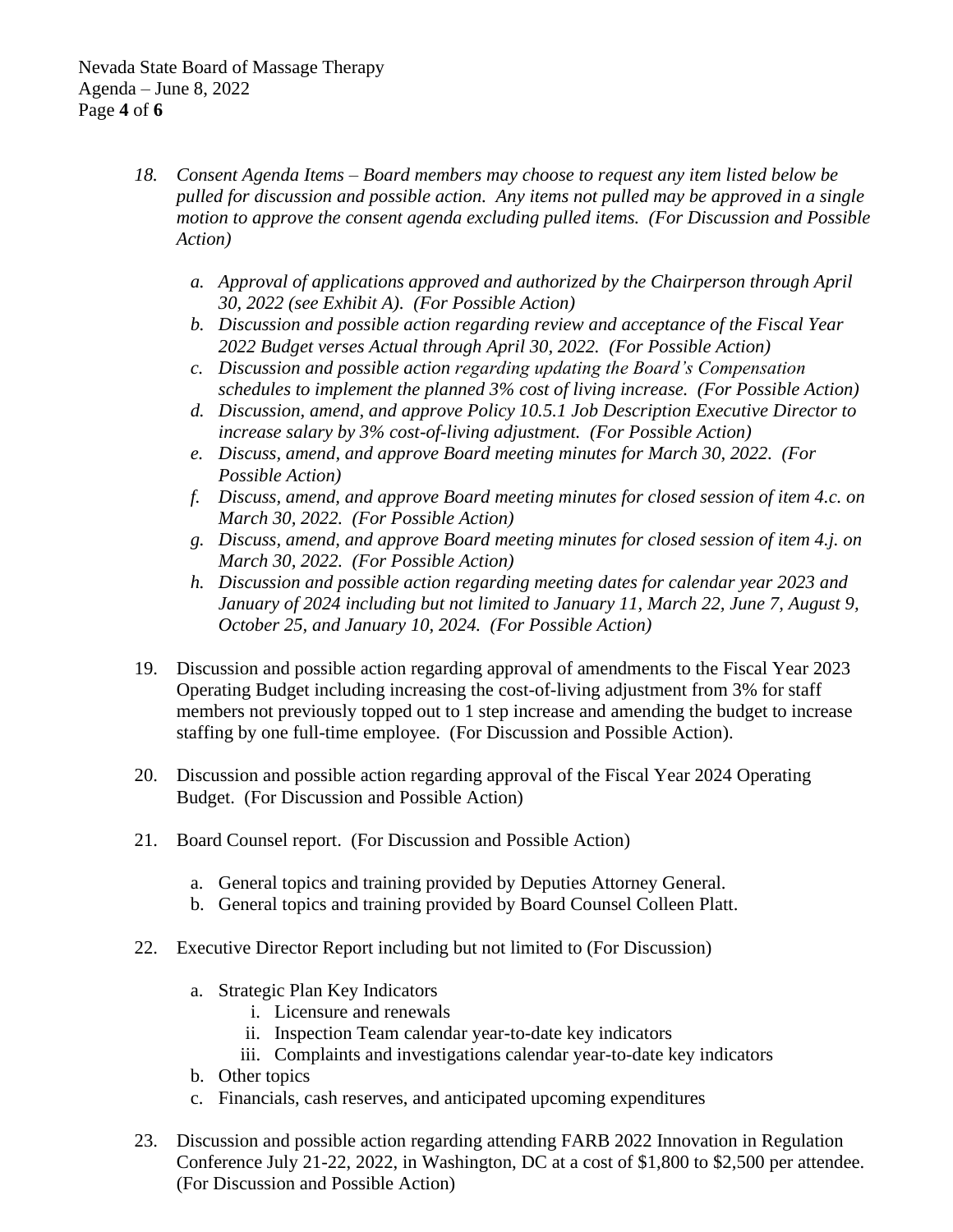- *18. Consent Agenda Items – Board members may choose to request any item listed below be pulled for discussion and possible action. Any items not pulled may be approved in a single motion to approve the consent agenda excluding pulled items. (For Discussion and Possible Action)*
	- *a. Approval of applications approved and authorized by the Chairperson through April 30, 2022 (see Exhibit A). (For Possible Action)*
	- *b. Discussion and possible action regarding review and acceptance of the Fiscal Year 2022 Budget verses Actual through April 30, 2022. (For Possible Action)*
	- *c. Discussion and possible action regarding updating the Board's Compensation schedules to implement the planned 3% cost of living increase. (For Possible Action)*
	- *d. Discussion, amend, and approve Policy 10.5.1 Job Description Executive Director to increase salary by 3% cost-of-living adjustment. (For Possible Action)*
	- *e. Discuss, amend, and approve Board meeting minutes for March 30, 2022. (For Possible Action)*
	- *f. Discuss, amend, and approve Board meeting minutes for closed session of item 4.c. on March 30, 2022. (For Possible Action)*
	- *g. Discuss, amend, and approve Board meeting minutes for closed session of item 4.j. on March 30, 2022. (For Possible Action)*
	- *h. Discussion and possible action regarding meeting dates for calendar year 2023 and January of 2024 including but not limited to January 11, March 22, June 7, August 9, October 25, and January 10, 2024. (For Possible Action)*
- 19. Discussion and possible action regarding approval of amendments to the Fiscal Year 2023 Operating Budget including increasing the cost-of-living adjustment from 3% for staff members not previously topped out to 1 step increase and amending the budget to increase staffing by one full-time employee. (For Discussion and Possible Action).
- 20. Discussion and possible action regarding approval of the Fiscal Year 2024 Operating Budget. (For Discussion and Possible Action)
- 21. Board Counsel report. (For Discussion and Possible Action)
	- a. General topics and training provided by Deputies Attorney General.
	- b. General topics and training provided by Board Counsel Colleen Platt.
- 22. Executive Director Report including but not limited to (For Discussion)
	- a. Strategic Plan Key Indicators
		- i. Licensure and renewals
		- ii. Inspection Team calendar year-to-date key indicators
		- iii. Complaints and investigations calendar year-to-date key indicators
	- b. Other topics
	- c. Financials, cash reserves, and anticipated upcoming expenditures
- 23. Discussion and possible action regarding attending FARB 2022 Innovation in Regulation Conference July 21-22, 2022, in Washington, DC at a cost of \$1,800 to \$2,500 per attendee. (For Discussion and Possible Action)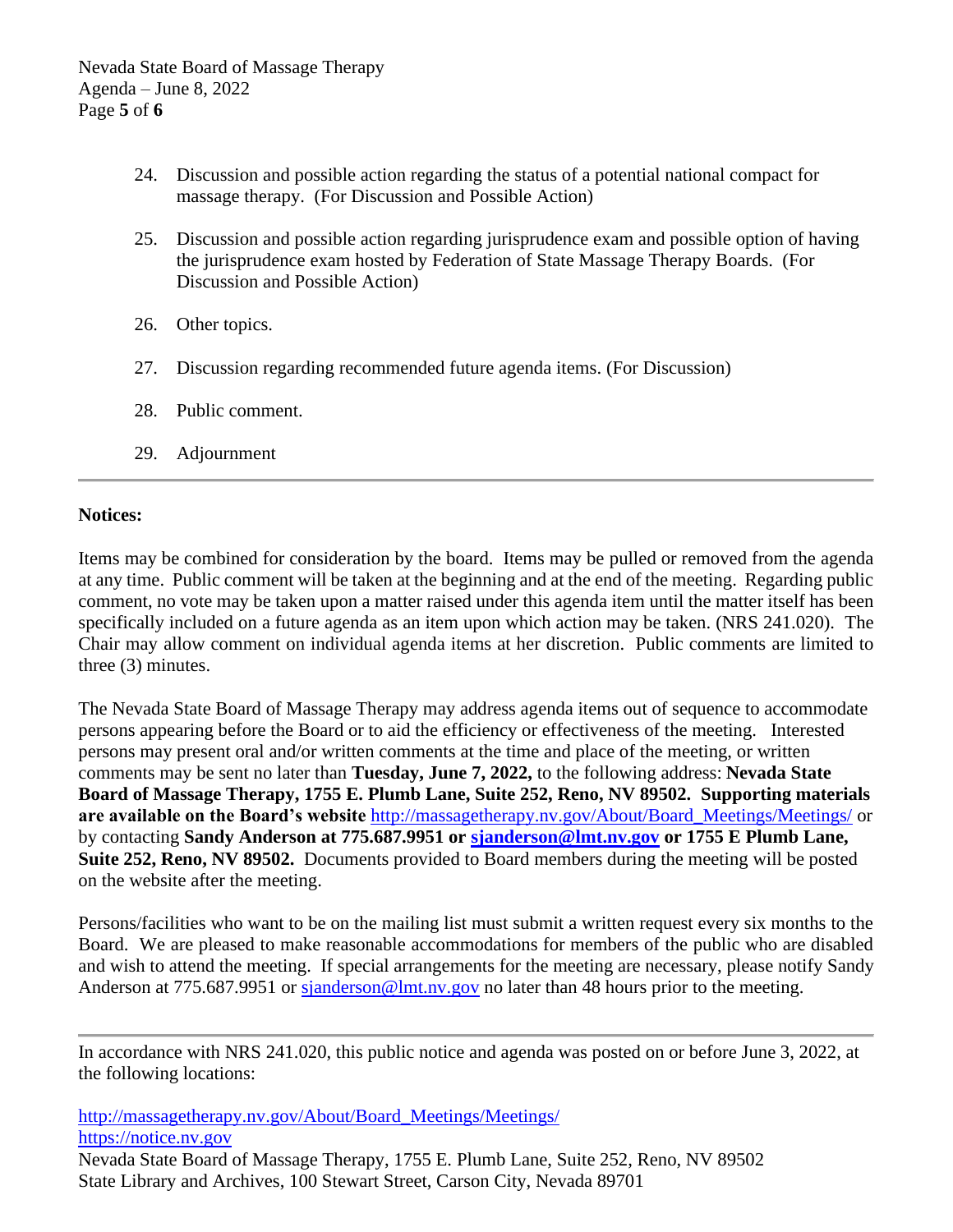- 24. Discussion and possible action regarding the status of a potential national compact for massage therapy. (For Discussion and Possible Action)
- 25. Discussion and possible action regarding jurisprudence exam and possible option of having the jurisprudence exam hosted by Federation of State Massage Therapy Boards. (For Discussion and Possible Action)
- 26. Other topics.
- 27. Discussion regarding recommended future agenda items. (For Discussion)
- 28. Public comment.
- 29. Adjournment

## **Notices:**

Items may be combined for consideration by the board. Items may be pulled or removed from the agenda at any time. Public comment will be taken at the beginning and at the end of the meeting. Regarding public comment, no vote may be taken upon a matter raised under this agenda item until the matter itself has been specifically included on a future agenda as an item upon which action may be taken. (NRS 241.020). The Chair may allow comment on individual agenda items at her discretion. Public comments are limited to three (3) minutes.

The Nevada State Board of Massage Therapy may address agenda items out of sequence to accommodate persons appearing before the Board or to aid the efficiency or effectiveness of the meeting. Interested persons may present oral and/or written comments at the time and place of the meeting, or written comments may be sent no later than **Tuesday, June 7, 2022,** to the following address: **Nevada State Board of Massage Therapy, 1755 E. Plumb Lane, Suite 252, Reno, NV 89502. Supporting materials are available on the Board's website** [http://massagetherapy.nv.gov/About/Board\\_Meetings/Meetings/](http://massagetherapy.nv.gov/About/Board_Meetings/Meetings/) or by contacting **Sandy Anderson at 775.687.9951 or [sjanderson@lmt.nv.gov](mailto:sjanderson@lmt.nv.gov) or 1755 E Plumb Lane, Suite 252, Reno, NV 89502.** Documents provided to Board members during the meeting will be posted on the website after the meeting.

Persons/facilities who want to be on the mailing list must submit a written request every six months to the Board. We are pleased to make reasonable accommodations for members of the public who are disabled and wish to attend the meeting. If special arrangements for the meeting are necessary, please notify Sandy Anderson at 775.687.9951 or [sjanderson@lmt.nv.gov](mailto:sjanderson@lmt.nv.gov) no later than 48 hours prior to the meeting.

In accordance with NRS 241.020, this public notice and agenda was posted on or before June 3, 2022, at the following locations:

[http://massagetherapy.nv.gov/About/Board\\_Meetings/Meetings/](http://massagetherapy.nv.gov/About/Board_Meetings/Meetings/) [https://notice.nv.gov](https://notice.nv.gov/) Nevada State Board of Massage Therapy, 1755 E. Plumb Lane, Suite 252, Reno, NV 89502

State Library and Archives, 100 Stewart Street, Carson City, Nevada 89701